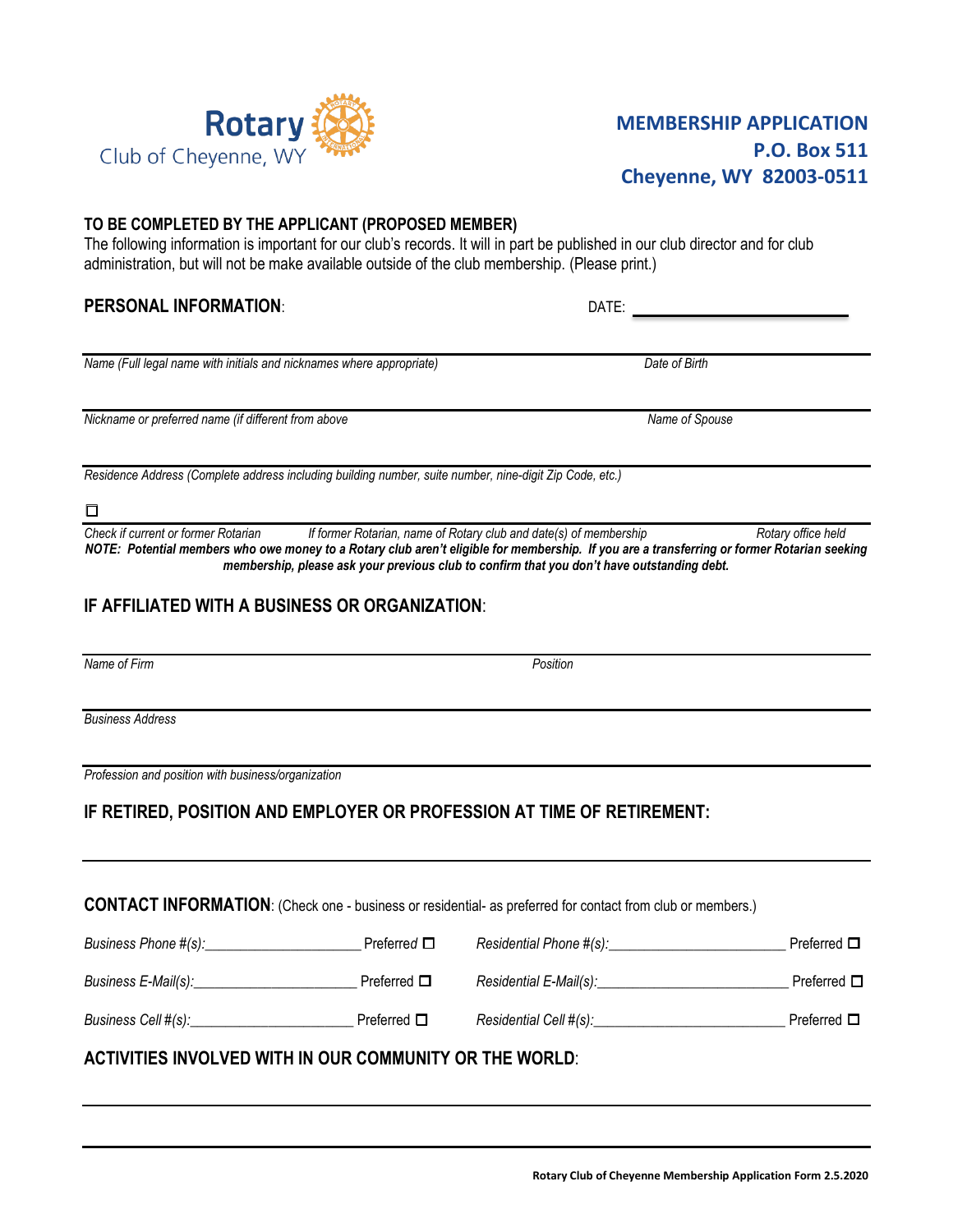# **MEMBERSHIP APPLICATION P.O. Box 511 Cheyenne, WY 82003-0511**

#### **TO BE COMPLETED BY THE APPLICANT (PROPOSED MEMBER)**

The following information is important for our club's records. It will in part be published in our club director and for club administration, but will not be make available outside of the club membership. (Please print.)

# **PERSONAL INFORMATION:** DATE: **DATE:** DATE: **DATE: DATE: DATE: DATE: DATE: DATE: DATE: DATE: DATE: DATE: DATE: DATE: DATE: DATE: DATE: DATE: DATE: DATE: DATE: DATE: DESIGNATION: D**

*Name (Full legal name with initials and nicknames where appropriate) Date of Birth*

*Nickname or preferred name (if different from above* Name of Spouse Name of Spouse

*Residence Address (Complete address including building number, suite number, nine-digit Zip Code, etc.)*

#### ☐

*Check if current or former Rotarian If former Rotarian, name of Rotary club and date(s) of membership Rotary office held NOTE: Potential members who owe money to a Rotary club aren't eligible for membership. If you are a transferring or former Rotarian seeking membership, please ask your previous club to confirm that you don't have outstanding debt.* 

## **IF AFFILIATED WITH A BUSINESS OR ORGANIZATION**:

*Name of Firm Position*

*Business Address*

*Profession and position with business/organization* 

## **IF RETIRED, POSITION AND EMPLOYER OR PROFESSION AT TIME OF RETIREMENT:**

*Business Phone #(s):* <br>Preferred **□ Preferred □** *Residential Phone #(s):* **example and Preferred □** 

**CONTACT INFORMATION**: (Check one - business or residential- as preferred for contact from club or members.)

*Business E-Mail(s):\_\_\_\_\_\_\_\_\_\_\_\_\_\_\_\_\_\_\_\_\_\_\_* Preferred ☐ *Residential E-Mail(s):\_\_\_\_\_\_\_\_\_\_\_\_\_\_\_\_\_\_\_\_\_\_\_\_\_\_\_* Preferred ☐ *Business Cell #(s):\_\_\_\_\_\_\_\_\_\_\_\_\_\_\_\_\_\_\_\_\_\_\_* Preferred ☐ *Residential Cell #(s):\_\_\_\_\_\_\_\_\_\_\_\_\_\_\_\_\_\_\_\_\_\_\_\_\_\_\_* Preferred ☐

# **ACTIVITIES INVOLVED WITH IN OUR COMMUNITY OR THE WORLD**: